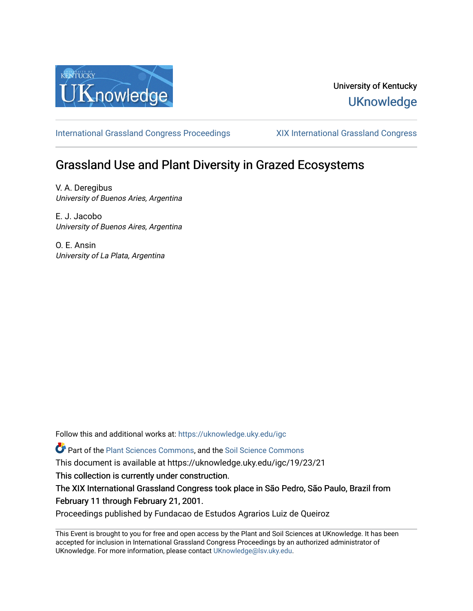

## University of Kentucky **UKnowledge**

[International Grassland Congress Proceedings](https://uknowledge.uky.edu/igc) [XIX International Grassland Congress](https://uknowledge.uky.edu/igc/19) 

# Grassland Use and Plant Diversity in Grazed Ecosystems

V. A. Deregibus University of Buenos Aries, Argentina

E. J. Jacobo University of Buenos Aires, Argentina

O. E. Ansin University of La Plata, Argentina

Follow this and additional works at: [https://uknowledge.uky.edu/igc](https://uknowledge.uky.edu/igc?utm_source=uknowledge.uky.edu%2Figc%2F19%2F23%2F21&utm_medium=PDF&utm_campaign=PDFCoverPages) 

Part of the [Plant Sciences Commons](http://network.bepress.com/hgg/discipline/102?utm_source=uknowledge.uky.edu%2Figc%2F19%2F23%2F21&utm_medium=PDF&utm_campaign=PDFCoverPages), and the [Soil Science Commons](http://network.bepress.com/hgg/discipline/163?utm_source=uknowledge.uky.edu%2Figc%2F19%2F23%2F21&utm_medium=PDF&utm_campaign=PDFCoverPages) 

This document is available at https://uknowledge.uky.edu/igc/19/23/21

This collection is currently under construction.

The XIX International Grassland Congress took place in São Pedro, São Paulo, Brazil from February 11 through February 21, 2001.

Proceedings published by Fundacao de Estudos Agrarios Luiz de Queiroz

This Event is brought to you for free and open access by the Plant and Soil Sciences at UKnowledge. It has been accepted for inclusion in International Grassland Congress Proceedings by an authorized administrator of UKnowledge. For more information, please contact [UKnowledge@lsv.uky.edu](mailto:UKnowledge@lsv.uky.edu).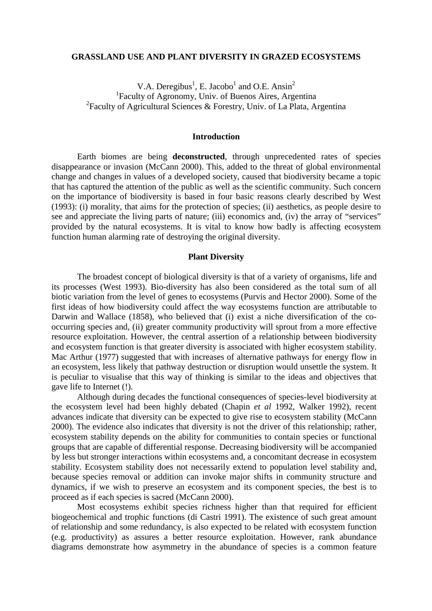#### **GRASSLAND USE AND PLANT DIVERSITY IN GRAZED ECOSYSTEMS**

V.A. Deregibus<sup>1</sup>, E. Jacobo<sup>1</sup> and O.E. Ansin<sup>2</sup> <sup>1</sup>Faculty of Agronomy, Univ. of Buenos Aires, Argentina <sup>2</sup> Faculty of Agricultural Sciences & Forestry, Univ. of La Plata, Argentina

#### **Introduction**

Earth biomes are being **deconstructed**, through unprecedented rates of species disappearance or invasion (McCann 2000). This, added to the threat of global environmental change and changes in values of a developed society, caused that biodiversity became a topic that has captured the attention of the public as well as the scientific community. Such concern on the importance of biodiversity is based in four basic reasons clearly described by West (1993): (i) morality, that aims for the protection of species; (ii) aesthetics, as people desire to see and appreciate the living parts of nature; (iii) economics and, (iv) the array of "services" provided by the natural ecosystems. It is vital to know how badly is affecting ecosystem function human alarming rate of destroying the original diversity.

#### **Plant Diversity**

The broadest concept of biological diversity is that of a variety of organisms, life and its processes (West 1993). Bio-diversity has also been considered as the total sum of all biotic variation from the level of genes to ecosystems (Purvis and Hector 2000). Some of the first ideas of how biodiversity could affect the way ecosystems function are attributable to Darwin and Wallace (1858), who believed that (i) exist a niche diversification of the cooccurring species and, (ii) greater community productivity will sprout from a more effective resource exploitation. However, the central assertion of a relationship between biodiversity and ecosystem function is that greater diversity is associated with higher ecosystem stability. Mac Arthur (1977) suggested that with increases of alternative pathways for energy flow in an ecosystem, less likely that pathway destruction or disruption would unsettle the system. It is peculiar to visualise that this way of thinking is similar to the ideas and objectives that gave life to Internet (!).

Although during decades the functional consequences of species-level biodiversity at the ecosystem level had been highly debated (Chapin *et al* 1992, Walker 1992), recent advances indicate that diversity can be expected to give rise to ecosystem stability (McCann 2000). The evidence also indicates that diversity is not the driver of this relationship; rather, ecosystem stability depends on the ability for communities to contain species or functional groups that are capable of differential response. Decreasing biodiversity will be accompanied by less but stronger interactions within ecosystems and, a concomitant decrease in ecosystem stability. Ecosystem stability does not necessarily extend to population level stability and, because species removal or addition can invoke major shifts in community structure and dynamics, if we wish to preserve an ecosystem and its component species, the best is to proceed as if each species is sacred (McCann 2000).

Most ecosystems exhibit species richness higher than that required for efficient biogeochemical and trophic functions (di Castri 1991). The existence of such great amount of relationship and some redundancy, is also expected to be related with ecosystem function (e.g. productivity) as assures a better resource exploitation. However, rank abundance diagrams demonstrate how asymmetry in the abundance of species is a common feature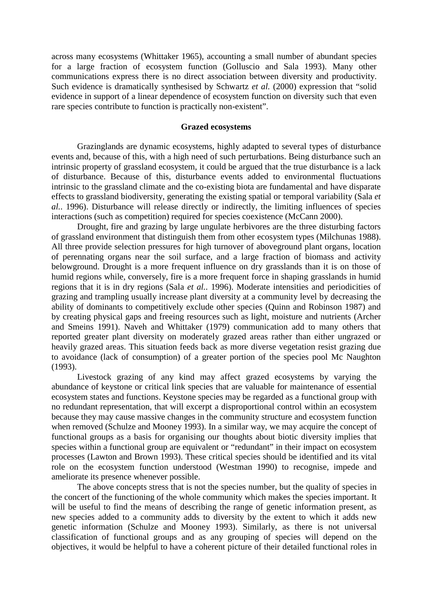across many ecosystems (Whittaker 1965), accounting a small number of abundant species for a large fraction of ecosystem function (Golluscio and Sala 1993). Many other communications express there is no direct association between diversity and productivity. Such evidence is dramatically synthesised by Schwartz *et al.* (2000) expression that "solid evidence in support of a linear dependence of ecosystem function on diversity such that even rare species contribute to function is practically non-existent".

### **Grazed ecosystems**

Grazinglands are dynamic ecosystems, highly adapted to several types of disturbance events and, because of this, with a high need of such perturbations. Being disturbance such an intrinsic property of grassland ecosystem, it could be argued that the true disturbance is a lack of disturbance. Because of this, disturbance events added to environmental fluctuations intrinsic to the grassland climate and the co-existing biota are fundamental and have disparate effects to grassland biodiversity, generating the existing spatial or temporal variability (Sala *et al.*. 1996). Disturbance will release directly or indirectly, the limiting influences of species interactions (such as competition) required for species coexistence (McCann 2000).

Drought, fire and grazing by large ungulate herbivores are the three disturbing factors of grassland environment that distinguish them from other ecosystem types (Milchunas 1988). All three provide selection pressures for high turnover of aboveground plant organs, location of perennating organs near the soil surface, and a large fraction of biomass and activity belowground. Drought is a more frequent influence on dry grasslands than it is on those of humid regions while, conversely, fire is a more frequent force in shaping grasslands in humid regions that it is in dry regions (Sala *et al.*. 1996). Moderate intensities and periodicities of grazing and trampling usually increase plant diversity at a community level by decreasing the ability of dominants to competitively exclude other species (Quinn and Robinson 1987) and by creating physical gaps and freeing resources such as light, moisture and nutrients (Archer and Smeins 1991). Naveh and Whittaker (1979) communication add to many others that reported greater plant diversity on moderately grazed areas rather than either ungrazed or heavily grazed areas. This situation feeds back as more diverse vegetation resist grazing due to avoidance (lack of consumption) of a greater portion of the species pool Mc Naughton (1993).

Livestock grazing of any kind may affect grazed ecosystems by varying the abundance of keystone or critical link species that are valuable for maintenance of essential ecosystem states and functions. Keystone species may be regarded as a functional group with no redundant representation, that will excerpt a disproportional control within an ecosystem because they may cause massive changes in the community structure and ecosystem function when removed (Schulze and Mooney 1993). In a similar way, we may acquire the concept of functional groups as a basis for organising our thoughts about biotic diversity implies that species within a functional group are equivalent or "redundant" in their impact on ecosystem processes (Lawton and Brown 1993). These critical species should be identified and its vital role on the ecosystem function understood (Westman 1990) to recognise, impede and ameliorate its presence whenever possible.

The above concepts stress that is not the species number, but the quality of species in the concert of the functioning of the whole community which makes the species important. It will be useful to find the means of describing the range of genetic information present, as new species added to a community adds to diversity by the extent to which it adds new genetic information (Schulze and Mooney 1993). Similarly, as there is not universal classification of functional groups and as any grouping of species will depend on the objectives, it would be helpful to have a coherent picture of their detailed functional roles in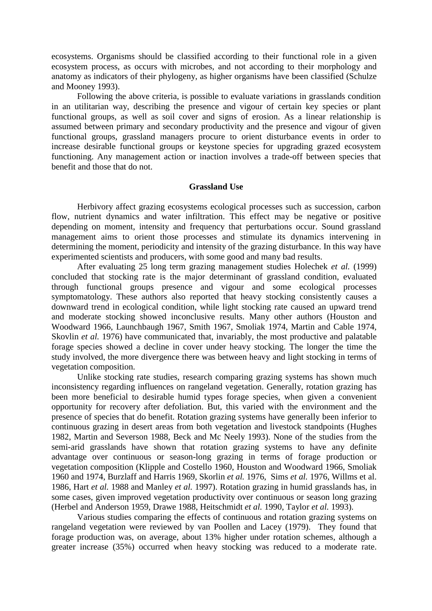ecosystems. Organisms should be classified according to their functional role in a given ecosystem process, as occurs with microbes, and not according to their morphology and anatomy as indicators of their phylogeny, as higher organisms have been classified (Schulze and Mooney 1993).

Following the above criteria, is possible to evaluate variations in grasslands condition in an utilitarian way, describing the presence and vigour of certain key species or plant functional groups, as well as soil cover and signs of erosion. As a linear relationship is assumed between primary and secondary productivity and the presence and vigour of given functional groups, grassland managers procure to orient disturbance events in order to increase desirable functional groups or keystone species for upgrading grazed ecosystem functioning. Any management action or inaction involves a trade-off between species that benefit and those that do not.

#### **Grassland Use**

Herbivory affect grazing ecosystems ecological processes such as succession, carbon flow, nutrient dynamics and water infiltration. This effect may be negative or positive depending on moment, intensity and frequency that perturbations occur. Sound grassland management aims to orient those processes and stimulate its dynamics intervening in determining the moment, periodicity and intensity of the grazing disturbance. In this way have experimented scientists and producers, with some good and many bad results.

After evaluating 25 long term grazing management studies Holechek *et al.* (1999) concluded that stocking rate is the major determinant of grassland condition, evaluated through functional groups presence and vigour and some ecological processes symptomatology. These authors also reported that heavy stocking consistently causes a downward trend in ecological condition, while light stocking rate caused an upward trend and moderate stocking showed inconclusive results. Many other authors (Houston and Woodward 1966, Launchbaugh 1967, Smith 1967, Smoliak 1974, Martin and Cable 1974, Skovlin *et al.* 1976) have communicated that, invariably, the most productive and palatable forage species showed a decline in cover under heavy stocking. The longer the time the study involved, the more divergence there was between heavy and light stocking in terms of vegetation composition.

Unlike stocking rate studies, research comparing grazing systems has shown much inconsistency regarding influences on rangeland vegetation. Generally, rotation grazing has been more beneficial to desirable humid types forage species, when given a convenient opportunity for recovery after defoliation. But, this varied with the environment and the presence of species that do benefit. Rotation grazing systems have generally been inferior to continuous grazing in desert areas from both vegetation and livestock standpoints (Hughes 1982, Martin and Severson 1988, Beck and Mc Neely 1993). None of the studies from the semi-arid grasslands have shown that rotation grazing systems to have any definite advantage over continuous or season-long grazing in terms of forage production or vegetation composition (Klipple and Costello 1960, Houston and Woodward 1966, Smoliak 1960 and 1974, Burzlaff and Harris 1969, Skorlin *et al.* 1976, Sims *et al.* 1976, Willms et al. 1986, Hart *et al.* 1988 and Manley *et al.* 1997). Rotation grazing in humid grasslands has, in some cases, given improved vegetation productivity over continuous or season long grazing (Herbel and Anderson 1959, Drawe 1988, Heitschmidt *et al.* 1990, Taylor *et al.* 1993).

Various studies comparing the effects of continuous and rotation grazing systems on rangeland vegetation were reviewed by van Poollen and Lacey (1979). They found that forage production was, on average, about 13% higher under rotation schemes, although a greater increase (35%) occurred when heavy stocking was reduced to a moderate rate.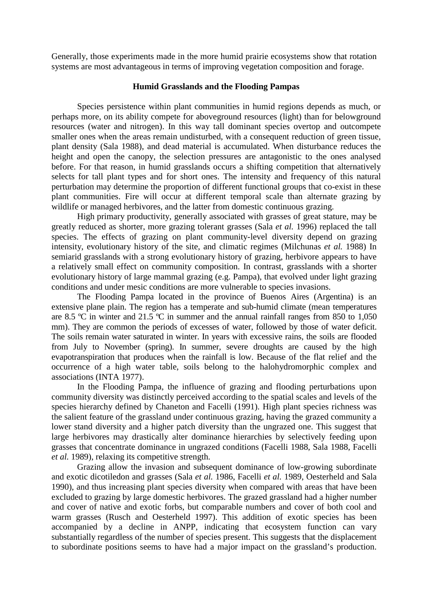Generally, those experiments made in the more humid prairie ecosystems show that rotation systems are most advantageous in terms of improving vegetation composition and forage.

#### **Humid Grasslands and the Flooding Pampas**

Species persistence within plant communities in humid regions depends as much, or perhaps more, on its ability compete for aboveground resources (light) than for belowground resources (water and nitrogen). In this way tall dominant species overtop and outcompete smaller ones when the areas remain undisturbed, with a consequent reduction of green tissue, plant density (Sala 1988), and dead material is accumulated. When disturbance reduces the height and open the canopy, the selection pressures are antagonistic to the ones analysed before. For that reason, in humid grasslands occurs a shifting competition that alternatively selects for tall plant types and for short ones. The intensity and frequency of this natural perturbation may determine the proportion of different functional groups that co-exist in these plant communities. Fire will occur at different temporal scale than alternate grazing by wildlife or managed herbivores, and the latter from domestic continuous grazing.

High primary productivity, generally associated with grasses of great stature, may be greatly reduced as shorter, more grazing tolerant grasses (Sala *et al.* 1996) replaced the tall species. The effects of grazing on plant community-level diversity depend on grazing intensity, evolutionary history of the site, and climatic regimes (Milchunas *et al.* 1988) In semiarid grasslands with a strong evolutionary history of grazing, herbivore appears to have a relatively small effect on community composition. In contrast, grasslands with a shorter evolutionary history of large mammal grazing (e.g. Pampa), that evolved under light grazing conditions and under mesic conditions are more vulnerable to species invasions.

The Flooding Pampa located in the province of Buenos Aires (Argentina) is an extensive plane plain. The region has a temperate and sub-humid climate (mean temperatures are 8.5 ºC in winter and 21.5 ºC in summer and the annual rainfall ranges from 850 to 1,050 mm). They are common the periods of excesses of water, followed by those of water deficit. The soils remain water saturated in winter. In years with excessive rains, the soils are flooded from July to November (spring). In summer, severe droughts are caused by the high evapotranspiration that produces when the rainfall is low. Because of the flat relief and the occurrence of a high water table, soils belong to the halohydromorphic complex and associations (INTA 1977).

In the Flooding Pampa, the influence of grazing and flooding perturbations upon community diversity was distinctly perceived according to the spatial scales and levels of the species hierarchy defined by Chaneton and Facelli (1991). High plant species richness was the salient feature of the grassland under continuous grazing, having the grazed community a lower stand diversity and a higher patch diversity than the ungrazed one. This suggest that large herbivores may drastically alter dominance hierarchies by selectively feeding upon grasses that concentrate dominance in ungrazed conditions (Facelli 1988, Sala 1988, Facelli *et al.* 1989), relaxing its competitive strength.

Grazing allow the invasion and subsequent dominance of low-growing subordinate and exotic dicotiledon and grasses (Sala *et al.* 1986, Facelli *et al.* 1989, Oesterheld and Sala 1990), and thus increasing plant species diversity when compared with areas that have been excluded to grazing by large domestic herbivores. The grazed grassland had a higher number and cover of native and exotic forbs, but comparable numbers and cover of both cool and warm grasses (Rusch and Oesterheld 1997). This addition of exotic species has been accompanied by a decline in ANPP, indicating that ecosystem function can vary substantially regardless of the number of species present. This suggests that the displacement to subordinate positions seems to have had a major impact on the grassland's production.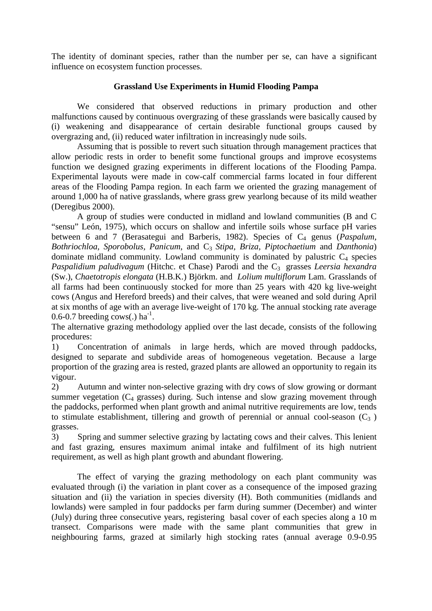The identity of dominant species, rather than the number per se, can have a significant influence on ecosystem function processes.

## **Grassland Use Experiments in Humid Flooding Pampa**

We considered that observed reductions in primary production and other malfunctions caused by continuous overgrazing of these grasslands were basically caused by (i) weakening and disappearance of certain desirable functional groups caused by overgrazing and, (ii) reduced water infiltration in increasingly nude soils.

Assuming that is possible to revert such situation through management practices that allow periodic rests in order to benefit some functional groups and improve ecosystems function we designed grazing experiments in different locations of the Flooding Pampa. Experimental layouts were made in cow-calf commercial farms located in four different areas of the Flooding Pampa region. In each farm we oriented the grazing management of around 1,000 ha of native grasslands, where grass grew yearlong because of its mild weather (Deregibus 2000).

A group of studies were conducted in midland and lowland communities (B and C "sensu" León, 1975), which occurs on shallow and infertile soils whose surface pH varies between 6 and 7 (Berasategui and Barberis, 1982). Species of C<sub>4</sub> genus (*Paspalum*, *Bothriochloa, Sporobolus, Panicum, and C<sub>3</sub> <i>Stipa, Briza, Piptochaetium and Danthonia*) dominate midland community. Lowland community is dominated by palustric  $C_4$  species *Paspalidium paludivagum* (Hitchc. et Chase) Parodi and the C<sub>3</sub> grasses *Leersia hexandra* (Sw.), *Chaetotropis elongata* (H.B.K.) Björkm. and *Lolium multiflorum* Lam. Grasslands of all farms had been continuously stocked for more than 25 years with 420 kg live-weight cows (Angus and Hereford breeds) and their calves, that were weaned and sold during April at six months of age with an average live-weight of 170 kg. The annual stocking rate average  $0.6-0.7$  breeding cows(.) ha<sup>-1</sup>.

The alternative grazing methodology applied over the last decade, consists of the following procedures:

1) Concentration of animals in large herds, which are moved through paddocks, designed to separate and subdivide areas of homogeneous vegetation. Because a large proportion of the grazing area is rested, grazed plants are allowed an opportunity to regain its vigour.

2) Autumn and winter non-selective grazing with dry cows of slow growing or dormant summer vegetation  $(C_4$  grasses) during. Such intense and slow grazing movement through the paddocks, performed when plant growth and animal nutritive requirements are low, tends to stimulate establishment, tillering and growth of perennial or annual cool-season  $(C_3)$ grasses.

3) Spring and summer selective grazing by lactating cows and their calves. This lenient and fast grazing, ensures maximum animal intake and fulfilment of its high nutrient requirement, as well as high plant growth and abundant flowering.

The effect of varying the grazing methodology on each plant community was evaluated through (i) the variation in plant cover as a consequence of the imposed grazing situation and (ii) the variation in species diversity (H). Both communities (midlands and lowlands) were sampled in four paddocks per farm during summer (December) and winter (July) during three consecutive years, registering basal cover of each species along a 10 m transect. Comparisons were made with the same plant communities that grew in neighbouring farms, grazed at similarly high stocking rates (annual average 0.9-0.95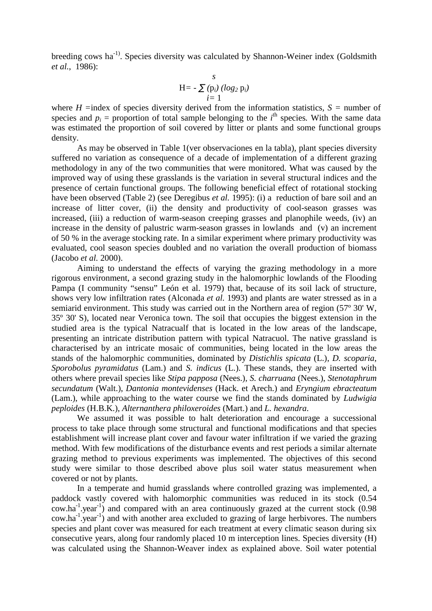breeding cows ha<sup>-1)</sup>. Species diversity was calculated by Shannon-Weiner index (Goldsmith *et al.*, 1986):

$$
H = -\sum_{i=1}^{S} (p_i) (log_2 p_i)
$$

where  $H =$ index of species diversity derived from the information statistics,  $S =$  number of species and  $p_i$  = proportion of total sample belonging to the  $i^{\text{th}}$  species. With the same data was estimated the proportion of soil covered by litter or plants and some functional groups density.

As may be observed in Table 1(ver observaciones en la tabla), plant species diversity suffered no variation as consequence of a decade of implementation of a different grazing methodology in any of the two communities that were monitored. What was caused by the improved way of using these grasslands is the variation in several structural indices and the presence of certain functional groups. The following beneficial effect of rotational stocking have been observed (Table 2) (see Deregibus *et al.* 1995): (i) a reduction of bare soil and an increase of litter cover, (ii) the density and productivity of cool-season grasses was increased, (iii) a reduction of warm-season creeping grasses and planophile weeds, (iv) an increase in the density of palustric warm-season grasses in lowlands and (v) an increment of 50 % in the average stocking rate. In a similar experiment where primary productivity was evaluated, cool season species doubled and no variation the overall production of biomass (Jacobo *et al.* 2000).

Aiming to understand the effects of varying the grazing methodology in a more rigorous environment, a second grazing study in the halomorphic lowlands of the Flooding Pampa (I community "sensu" León et al. 1979) that, because of its soil lack of structure, shows very low infiltration rates (Alconada *et al.* 1993) and plants are water stressed as in a semiarid environment. This study was carried out in the Northern area of region (57º 30' W, 35º 30' S), located near Veronica town. The soil that occupies the biggest extension in the studied area is the typical Natracualf that is located in the low areas of the landscape, presenting an intricate distribution pattern with typical Natracuol. The native grassland is characterised by an intricate mosaic of communities, being located in the low areas the stands of the halomorphic communities, dominated by *Distichlis spicata* (L.), *D. scoparia*, *Sporobolus pyramidatus* (Lam.) and *S. indicus* (L.). These stands, they are inserted with others where prevail species like *Stipa papposa* (Nees.)*, S. charruana* (Nees.), *Stenotaphrum secundatum* (Walt.), *Dantonia montevidenses* (Hack. et Arech.) and *Eryngium ebracteatum* (Lam.), while approaching to the water course we find the stands dominated by *Ludwigia peploides* (H.B.K.), *Alternanthera philoxeroides* (Mart.) and *L. hexandra*.

We assumed it was possible to halt deterioration and encourage a successional process to take place through some structural and functional modifications and that species establishment will increase plant cover and favour water infiltration if we varied the grazing method. With few modifications of the disturbance events and rest periods a similar alternate grazing method to previous experiments was implemented. The objectives of this second study were similar to those described above plus soil water status measurement when covered or not by plants.

In a temperate and humid grasslands where controlled grazing was implemented, a paddock vastly covered with halomorphic communities was reduced in its stock (0.54  $\text{cow.ha}^{-1}$ . year<sup>-1</sup>) and compared with an area continuously grazed at the current stock (0.98)  $cow.ha^{-1}$  year<sup>-1</sup>) and with another area excluded to grazing of large herbivores. The numbers species and plant cover was measured for each treatment at every climatic season during six consecutive years, along four randomly placed 10 m interception lines. Species diversity (H) was calculated using the Shannon-Weaver index as explained above. Soil water potential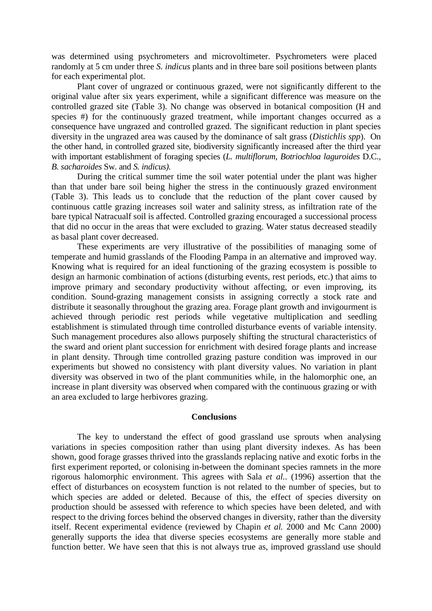was determined using psychrometers and microvoltimeter. Psychrometers were placed randomly at 5 cm under three *S. indicus* plants and in three bare soil positions between plants for each experimental plot.

Plant cover of ungrazed or continuous grazed, were not significantly different to the original value after six years experiment, while a significant difference was measure on the controlled grazed site (Table 3). No change was observed in botanical composition (H and species #) for the continuously grazed treatment, while important changes occurred as a consequence have ungrazed and controlled grazed. The significant reduction in plant species diversity in the ungrazed area was caused by the dominance of salt grass (*Distichlis spp*). On the other hand, in controlled grazed site, biodiversity significantly increased after the third year with important establishment of foraging species (*L. multiflorum, Botriochloa laguroides* D.C.*, B. sacharoides* Sw. and *S. indicus).*

During the critical summer time the soil water potential under the plant was higher than that under bare soil being higher the stress in the continuously grazed environment (Table 3). This leads us to conclude that the reduction of the plant cover caused by continuous cattle grazing increases soil water and salinity stress, as infiltration rate of the bare typical Natracualf soil is affected. Controlled grazing encouraged a successional process that did no occur in the areas that were excluded to grazing. Water status decreased steadily as basal plant cover decreased.

These experiments are very illustrative of the possibilities of managing some of temperate and humid grasslands of the Flooding Pampa in an alternative and improved way. Knowing what is required for an ideal functioning of the grazing ecosystem is possible to design an harmonic combination of actions (disturbing events, rest periods, etc.) that aims to improve primary and secondary productivity without affecting, or even improving, its condition. Sound-grazing management consists in assigning correctly a stock rate and distribute it seasonally throughout the grazing area. Forage plant growth and invigourment is achieved through periodic rest periods while vegetative multiplication and seedling establishment is stimulated through time controlled disturbance events of variable intensity. Such management procedures also allows purposely shifting the structural characteristics of the sward and orient plant succession for enrichment with desired forage plants and increase in plant density. Through time controlled grazing pasture condition was improved in our experiments but showed no consistency with plant diversity values. No variation in plant diversity was observed in two of the plant communities while, in the halomorphic one, an increase in plant diversity was observed when compared with the continuous grazing or with an area excluded to large herbivores grazing.

#### **Conclusions**

The key to understand the effect of good grassland use sprouts when analysing variations in species composition rather than using plant diversity indexes. As has been shown, good forage grasses thrived into the grasslands replacing native and exotic forbs in the first experiment reported, or colonising in-between the dominant species ramnets in the more rigorous halomorphic environment. This agrees with Sala *et al.*. (1996) assertion that the effect of disturbances on ecosystem function is not related to the number of species, but to which species are added or deleted. Because of this, the effect of species diversity on production should be assessed with reference to which species have been deleted, and with respect to the driving forces behind the observed changes in diversity, rather than the diversity itself. Recent experimental evidence (reviewed by Chapin *et al.* 2000 and Mc Cann 2000) generally supports the idea that diverse species ecosystems are generally more stable and function better. We have seen that this is not always true as, improved grassland use should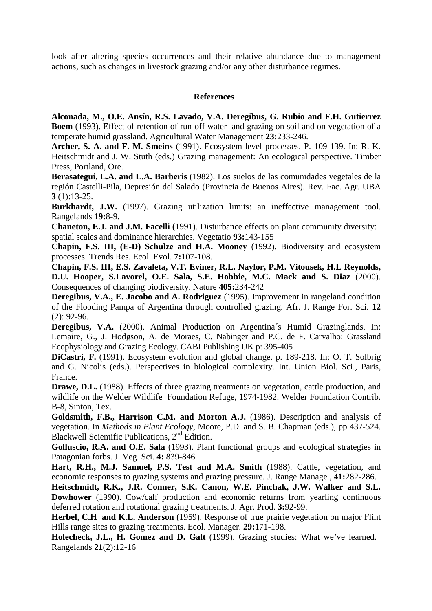look after altering species occurrences and their relative abundance due to management actions, such as changes in livestock grazing and/or any other disturbance regimes.

## **References**

**Alconada, M., O.E. Ansín, R.S. Lavado, V.A. Deregibus, G. Rubio and F.H. Gutierrez Boem** (1993). Effect of retention of run-off water and grazing on soil and on vegetation of a temperate humid grassland. Agricultural Water Management **23:**233-246.

**Archer, S. A. and F. M. Smeins** (1991). Ecosystem-level processes. P. 109-139. In: R. K. Heitschmidt and J. W. Stuth (eds.) Grazing management: An ecological perspective. Timber Press, Portland, Ore.

**Berasategui, L.A. and L.A. Barberis** (1982). Los suelos de las comunidades vegetales de la región Castelli-Pila, Depresión del Salado (Provincia de Buenos Aires). Rev. Fac. Agr. UBA **3** (1):13-25.

Burkhardt, J.W. (1997). Grazing utilization limits: an ineffective management tool. Rangelands **19:**8-9.

**Chaneton, E.J. and J.M. Facelli (**1991). Disturbance effects on plant community diversity: spatial scales and dominance hierarchies. Vegetatio **93:**143-155

**Chapin, F.S. III, (E-D) Schulze and H.A. Mooney** (1992). Biodiversity and ecosystem processes. Trends Res. Ecol. Evol. **7:**107-108.

**Chapin, F.S. III, E.S. Zavaleta, V.T. Eviner, R.L. Naylor, P.M. Vitousek, H.L Reynolds, D.U. Hooper, S.Lavorel, O.E. Sala, S.E. Hobbie, M.C. Mack and S. Diaz** (2000). Consequences of changing biodiversity. Nature **405:**234-242

**Deregibus, V.A., E. Jacobo and A. Rodriguez** (1995). Improvement in rangeland condition of the Flooding Pampa of Argentina through controlled grazing. Afr. J. Range For. Sci. **12** (2): 92-96.

**Deregibus, V.A.** (2000). Animal Production on Argentina´s Humid Grazinglands. In: Lemaire, G., J. Hodgson, A. de Moraes, C. Nabinger and P.C. de F. Carvalho: Grassland Ecophysiology and Grazing Ecology. CABI Publishing UK p: 395-405

**DiCastri, F.** (1991). Ecosystem evolution and global change. p. 189-218. In: O. T. Solbrig and G. Nicolis (eds.). Perspectives in biological complexity. Int. Union Biol. Sci., Paris, France.

**Drawe, D.L.** (1988). Effects of three grazing treatments on vegetation, cattle production, and wildlife on the Welder Wildlife Foundation Refuge, 1974-1982. Welder Foundation Contrib. B-8, Sinton, Tex.

**Goldsmith, F.B., Harrison C.M. and Morton A.J.** (1986). Description and analysis of vegetation. In *Methods in Plant Ecology,* Moore, P.D. and S. B. Chapman (eds.), pp 437-524. Blackwell Scientific Publications, 2<sup>nd</sup> Edition.

**Golluscio, R.A. and O.E. Sala** (1993). Plant functional groups and ecological strategies in Patagonian forbs. J. Veg. Sci. **4:** 839-846.

**Hart, R.H., M.J. Samuel, P.S. Test and M.A. Smith** (1988). Cattle, vegetation, and economic responses to grazing systems and grazing pressure. J. Range Manage., **41:**282-286.

**Heitschmidt, R.K., J.R. Conner, S.K. Canon, W.E. Pinchak, J.W. Walker and S.L. Dowhower** (1990). Cow/calf production and economic returns from yearling continuous deferred rotation and rotational grazing treatments. J. Agr. Prod. **3:**92-99.

**Herbel, C.H and K.L. Anderson** (1959). Response of true prairie vegetation on major Flint Hills range sites to grazing treatments. Ecol. Manager. **29:**171-198.

**Holecheck, J.L., H. Gomez and D. Galt** (1999). Grazing studies: What we've learned. Rangelands **21**(2):12-16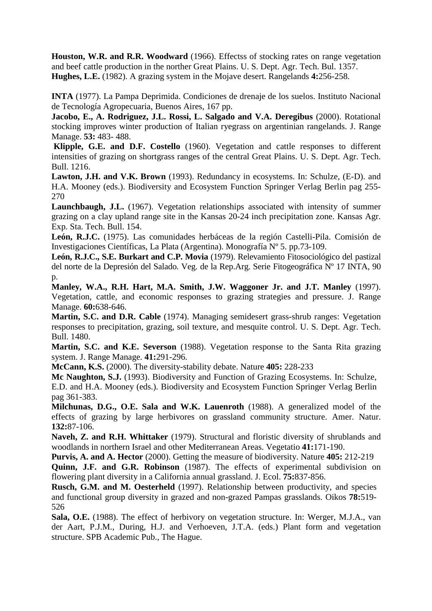**Houston, W.R. and R.R. Woodward** (1966). Effectss of stocking rates on range vegetation and beef cattle production in the norther Great Plains. U. S. Dept. Agr. Tech. Bul. 1357. **Hughes, L.E.** (1982). A grazing system in the Mojave desert. Rangelands **4:**256-258.

**INTA** (1977). La Pampa Deprimida. Condiciones de drenaje de los suelos. Instituto Nacional de Tecnología Agropecuaria, Buenos Aires, 167 pp.

**Jacobo, E., A. Rodriguez, J.L. Rossi, L. Salgado and V.A. Deregibus** (2000). Rotational stocking improves winter production of Italian ryegrass on argentinian rangelands. J. Range Manage. **53:** 483- 488.

**Klipple, G.E. and D.F. Costello** (1960). Vegetation and cattle responses to different intensities of grazing on shortgrass ranges of the central Great Plains. U. S. Dept. Agr. Tech. Bull. 1216.

**Lawton, J.H. and V.K. Brown** (1993). Redundancy in ecosystems. In: Schulze, (E-D). and H.A. Mooney (eds.). Biodiversity and Ecosystem Function Springer Verlag Berlin pag 255- 270

Launchbaugh, J.L. (1967). Vegetation relationships associated with intensity of summer grazing on a clay upland range site in the Kansas 20-24 inch precipitation zone. Kansas Agr. Exp. Sta. Tech. Bull. 154.

**León, R.J.C.** (1975). Las comunidades herbáceas de la región Castelli-Pila. Comisión de Investigaciones Científicas, La Plata (Argentina). Monografía Nº 5. pp.73-109.

**León, R.J.C., S.E. Burkart and C.P. Movia** (1979). Relevamiento Fitosociológico del pastizal del norte de la Depresión del Salado. Veg. de la Rep.Arg. Serie Fitogeográfica Nº 17 INTA, 90  $p.$ 

**Manley, W.A., R.H. Hart, M.A. Smith, J.W. Waggoner Jr. and J.T. Manley** (1997). Vegetation, cattle, and economic responses to grazing strategies and pressure. J. Range Manage. **60:**638-646.

**Martin, S.C. and D.R. Cable** (1974). Managing semidesert grass-shrub ranges: Vegetation responses to precipitation, grazing, soil texture, and mesquite control. U. S. Dept. Agr. Tech. Bull. 1480.

**Martin, S.C. and K.E. Severson** (1988). Vegetation response to the Santa Rita grazing system. J. Range Manage. **41:**291-296.

**McCann, K.S.** (2000). The diversity-stability debate. Nature **405:** 228-233

**Mc Naughton, S.J.** (1993). Biodiversity and Function of Grazing Ecosystems. In: Schulze, E.D. and H.A. Mooney (eds.). Biodiversity and Ecosystem Function Springer Verlag Berlin pag 361-383.

**Milchunas, D.G., O.E. Sala and W.K. Lauenroth** (1988). A generalized model of the effects of grazing by large herbivores on grassland community structure. Amer. Natur. **132:**87-106.

**Naveh, Z. and R.H. Whittaker** (1979). Structural and floristic diversity of shrublands and woodlands in northern Israel and other Mediterranean Areas. Vegetatio **41:**171-190.

**Purvis, A. and A. Hector** (2000). Getting the measure of biodiversity. Nature **405:** 212-219 **Quinn, J.F. and G.R. Robinson** (1987). The effects of experimental subdivision on flowering plant diversity in a California annual grassland. J. Ecol. **75:**837-856.

**Rusch, G.M. and M. Oesterheld** (1997). Relationship between productivity, and species and functional group diversity in grazed and non-grazed Pampas grasslands. Oikos **78:**519- 526

**Sala, O.E.** (1988). The effect of herbivory on vegetation structure. In: Werger, M.J.A., van der Aart, P.J.M., During, H.J. and Verhoeven, J.T.A. (eds.) Plant form and vegetation structure. SPB Academic Pub., The Hague.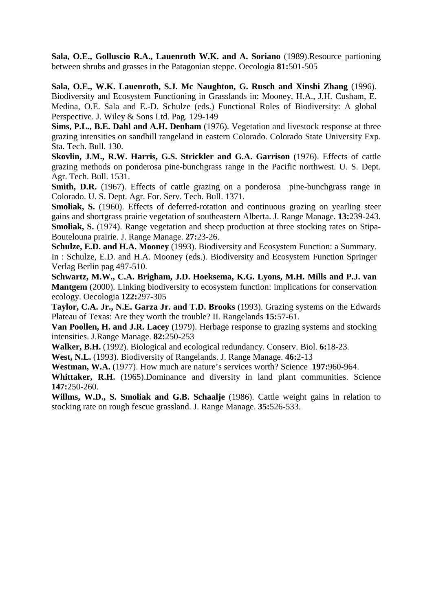**Sala, O.E., Golluscio R.A., Lauenroth W.K. and A. Soriano** (1989).Resource partioning between shrubs and grasses in the Patagonian steppe. Oecologia **81:**501-505

**Sala, O.E., W.K. Lauenroth, S.J. Mc Naughton, G. Rusch and Xinshi Zhang** (1996). Biodiversity and Ecosystem Functioning in Grasslands in: Mooney, H.A., J.H. Cusham, E. Medina, O.E. Sala and E.-D. Schulze (eds.) Functional Roles of Biodiversity: A global Perspective. J. Wiley & Sons Ltd. Pag. 129-149

**Sims, P.L., B.E. Dahl and A.H. Denham** (1976). Vegetation and livestock response at three grazing intensities on sandhill rangeland in eastern Colorado. Colorado State University Exp. Sta. Tech. Bull. 130.

**Skovlin, J.M., R.W. Harris, G.S. Strickler and G.A. Garrison** (1976). Effects of cattle grazing methods on ponderosa pine-bunchgrass range in the Pacific northwest. U. S. Dept. Agr. Tech. Bull. 1531.

**Smith, D.R.** (1967). Effects of cattle grazing on a ponderosa pine-bunchgrass range in Colorado. U. S. Dept. Agr. For. Serv. Tech. Bull. 1371.

**Smoliak, S.** (1960). Effects of deferred-rotation and continuous grazing on yearling steer gains and shortgrass prairie vegetation of southeastern Alberta. J. Range Manage. **13:**239-243. **Smoliak, S.** (1974). Range vegetation and sheep production at three stocking rates on Stipa-Boutelouna prairie. J. Range Manage. **27:**23-26.

**Schulze, E.D. and H.A. Mooney** (1993). Biodiversity and Ecosystem Function: a Summary. In : Schulze, E.D. and H.A. Mooney (eds.). Biodiversity and Ecosystem Function Springer Verlag Berlin pag 497-510.

**Schwartz, M.W., C.A. Brigham, J.D. Hoeksema, K.G. Lyons, M.H. Mills and P.J. van Mantgem** (2000). Linking biodiversity to ecosystem function: implications for conservation ecology. Oecologia **122:**297-305

**Taylor, C.A. Jr., N.E. Garza Jr. and T.D. Brooks** (1993). Grazing systems on the Edwards Plateau of Texas: Are they worth the trouble? II. Rangelands **15:**57-61.

**Van Poollen, H. and J.R. Lacey** (1979). Herbage response to grazing systems and stocking intensities. J.Range Manage. **82:**250-253

**Walker, B.H.** (1992). Biological and ecological redundancy. Conserv. Biol. **6:**18-23.

**West, N.L.** (1993). Biodiversity of Rangelands. J. Range Manage. **46:**2-13

**Westman, W.A.** (1977). How much are nature's services worth? Science **197:**960-964.

Whittaker, R.H. (1965).Dominance and diversity in land plant communities. Science **147:**250-260.

**Willms, W.D., S. Smoliak and G.B. Schaalje** (1986). Cattle weight gains in relation to stocking rate on rough fescue grassland. J. Range Manage. **35:**526-533.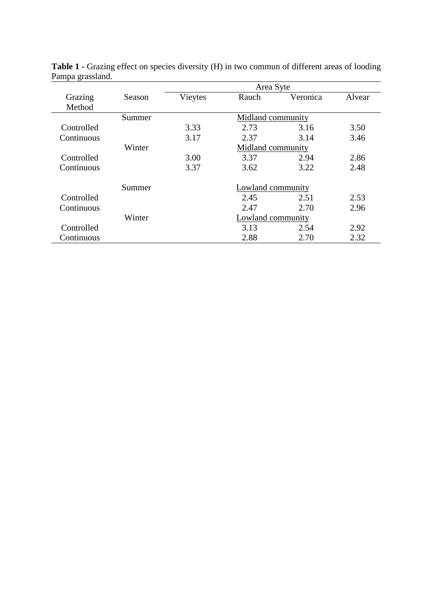|            |        | Area Syte         |       |          |        |  |
|------------|--------|-------------------|-------|----------|--------|--|
| Grazing    | Season | Vieytes           | Rauch | Veronica | Alvear |  |
| Method     |        |                   |       |          |        |  |
|            | Summer | Midland community |       |          |        |  |
| Controlled |        | 3.33              | 2.73  | 3.16     | 3.50   |  |
| Continuous |        | 3.17              | 2.37  | 3.14     | 3.46   |  |
|            | Winter | Midland community |       |          |        |  |
| Controlled |        | 3.00              | 3.37  | 2.94     | 2.86   |  |
| Continuous |        | 3.37              | 3.62  | 3.22     | 2.48   |  |
|            | Summer | Lowland community |       |          |        |  |
| Controlled |        |                   | 2.45  | 2.51     | 2.53   |  |
| Continuous |        |                   | 2.47  | 2.70     | 2.96   |  |
|            | Winter | Lowland community |       |          |        |  |
| Controlled |        |                   | 3.13  | 2.54     | 2.92   |  |
| Continuous |        |                   | 2.88  | 2.70     | 2.32   |  |

Table 1 - Grazing effect on species diversity (H) in two commun of different areas of looding Pampa grassland.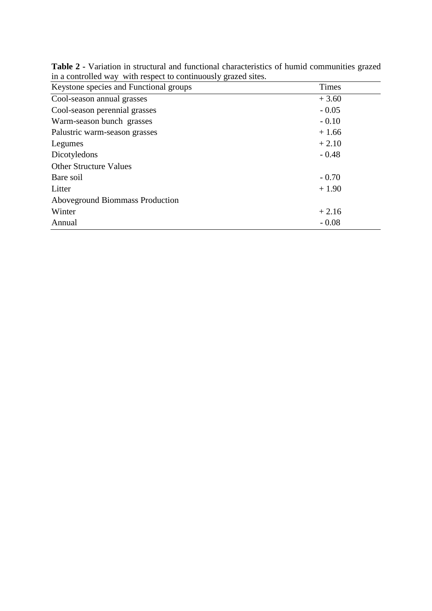| $\mathbf{m}$ a controlled $\mathbf{m}_f$ with respect to continuously graded sheet |              |
|------------------------------------------------------------------------------------|--------------|
| Keystone species and Functional groups                                             | <b>Times</b> |
| Cool-season annual grasses                                                         | $+3.60$      |
| Cool-season perennial grasses                                                      | $-0.05$      |
| Warm-season bunch grasses                                                          | $-0.10$      |
| Palustric warm-season grasses                                                      | $+1.66$      |
| Legumes                                                                            | $+2.10$      |
| Dicotyledons                                                                       | $-0.48$      |
| <b>Other Structure Values</b>                                                      |              |
| Bare soil                                                                          | $-0.70$      |
| Litter                                                                             | $+1.90$      |
| Aboveground Biommass Production                                                    |              |
| Winter                                                                             | $+2.16$      |
| Annual                                                                             | $-0.08$      |

**Table 2 -** Variation in structural and functional characteristics of humid communities grazed in a controlled way with respect to continuously grazed sites.